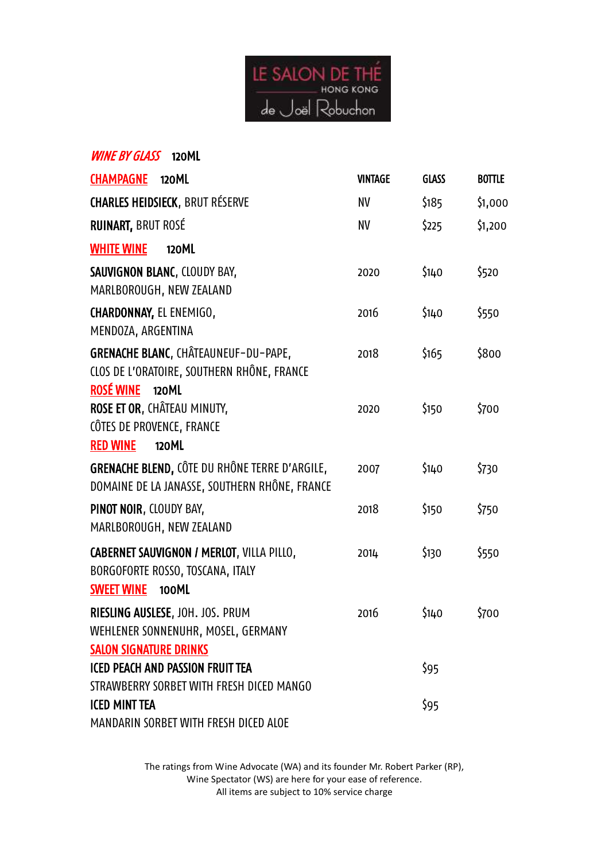

| <b>WINE BY GLASS</b> 120ML                                                                                             |                |              |               |
|------------------------------------------------------------------------------------------------------------------------|----------------|--------------|---------------|
| <b>CHAMPAGNE</b><br>120ML                                                                                              | <b>VINTAGE</b> | <b>GLASS</b> | <b>BOTTLE</b> |
| <b>CHARLES HEIDSIECK, BRUT RÉSERVE</b>                                                                                 | <b>NV</b>      | \$185        | \$1,000       |
| RUINART, BRUT ROSÉ                                                                                                     | <b>NV</b>      | \$225        | \$1,200       |
| <b>WHITE WINE</b><br>120ML                                                                                             |                |              |               |
| SAUVIGNON BLANC, CLOUDY BAY,<br>MARLBOROUGH, NEW ZEALAND                                                               | 2020           | \$140        | \$520         |
| CHARDONNAY, EL ENEMIGO,<br>MENDOZA, ARGENTINA                                                                          | 2016           | \$140        | \$550         |
| GRENACHE BLANC, CHÂTEAUNEUF-DU-PAPE,<br>CLOS DE L'ORATOIRE, SOUTHERN RHÔNE, FRANCE<br><b>ROSÉ WINE</b><br><b>120ML</b> | 2018           | \$165        | \$800         |
| ROSE ET OR, CHÂTEAU MINUTY,<br>CÔTES DE PROVENCE, FRANCE<br><b>RED WINE</b><br>120ML                                   | 2020           | \$150        | \$700         |
| GRENACHE BLEND, CÔTE DU RHÔNE TERRE D'ARGILE,<br>DOMAINE DE LA JANASSE, SOUTHERN RHÔNE, FRANCE                         | 2007           | \$140        | \$730         |
| PINOT NOIR, CLOUDY BAY,<br>MARLBOROUGH, NEW ZEALAND                                                                    | 2018           | \$150        | \$750         |
| CABERNET SAUVIGNON / MERLOT, VILLA PILLO,<br>BORGOFORTE ROSSO, TOSCANA, ITALY<br><b>SWEET WINE</b><br>100ML            | 2014           | \$130        | \$550         |
| RIESLING AUSLESE, JOH. JOS. PRUM<br>WEHLENER SONNENUHR, MOSEL, GERMANY<br><b>SALON SIGNATURE DRINKS</b>                | 2016           | \$140        | \$700         |
| <b>ICED PEACH AND PASSION FRUIT TEA</b><br>STRAWBERRY SORBET WITH FRESH DICED MANGO                                    |                | \$95         |               |
| <b>ICED MINT TEA</b><br>MANDARIN SORBET WITH FRESH DICED ALOE                                                          |                | \$95         |               |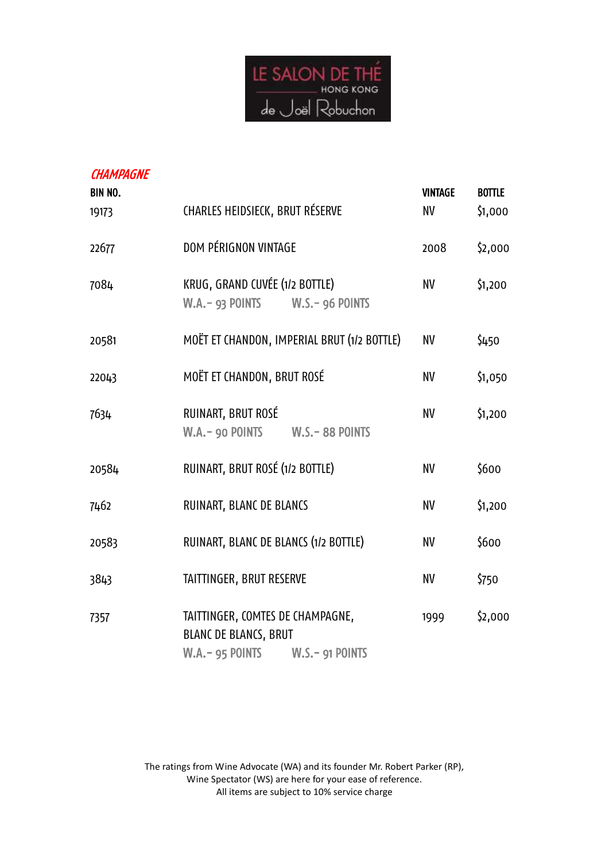

| <b>CHAMPAGNE</b><br><b>BIN NO.</b><br>19173 | CHARLES HEIDSIECK, BRUT RÉSERVE                                                                       | <b>VINTAGE</b><br>NV | <b>BOTTLE</b><br>\$1,000 |
|---------------------------------------------|-------------------------------------------------------------------------------------------------------|----------------------|--------------------------|
| 22677                                       | DOM PÉRIGNON VINTAGE                                                                                  | 2008                 | \$2,000                  |
| 7084                                        | KRUG, GRAND CUVÉE (1/2 BOTTLE)<br>W.A. - 93 POINTS W.S. - 96 POINTS                                   | NV                   | \$1,200                  |
| 20581                                       | MOËT ET CHANDON, IMPERIAL BRUT (1/2 BOTTLE)                                                           | NV                   | \$450                    |
| 22043                                       | MOËT ET CHANDON, BRUT ROSÉ                                                                            | NV                   | \$1,050                  |
| 7634                                        | RUINART, BRUT ROSÉ<br>W.A. - 90 POINTS W.S. - 88 POINTS                                               | <b>NV</b>            | \$1,200                  |
| 20584                                       | RUINART, BRUT ROSÉ (1/2 BOTTLE)                                                                       | NV                   | \$600                    |
| 7462                                        | RUINART, BLANC DE BLANCS                                                                              | NV                   | \$1,200                  |
| 20583                                       | RUINART, BLANC DE BLANCS (1/2 BOTTLE)                                                                 | <b>NV</b>            | \$600                    |
| 3843                                        | TAITTINGER, BRUT RESERVE                                                                              | NV                   | \$750                    |
| 7357                                        | TAITTINGER, COMTES DE CHAMPAGNE,<br><b>BLANC DE BLANCS, BRUT</b><br>W.A. - 95 POINTS W.S. - 91 POINTS | 1999                 | \$2,000                  |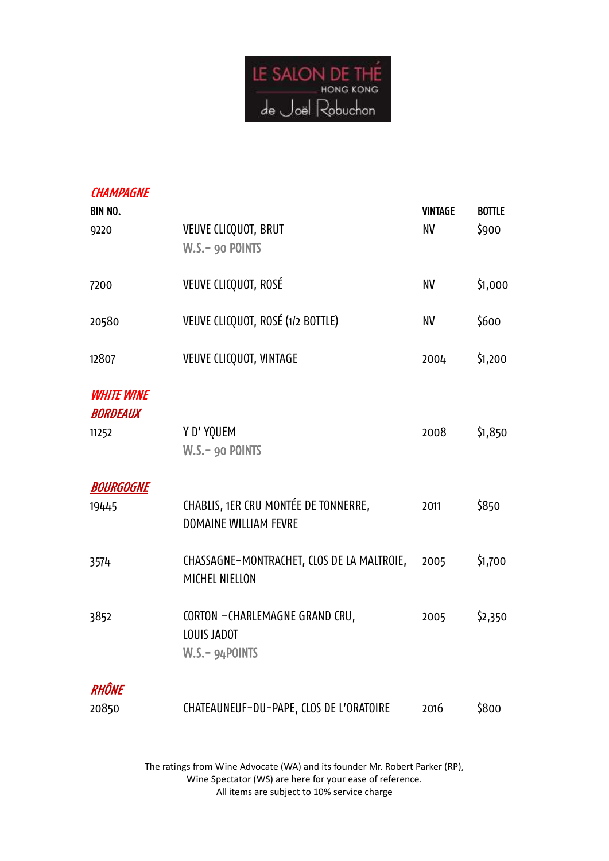

| <b>CHAMPAGNE</b><br><b>BIN NO.</b>            |                                                                      | <b>VINTAGE</b> | <b>BOTTLE</b> |
|-----------------------------------------------|----------------------------------------------------------------------|----------------|---------------|
| 9220                                          | VEUVE CLICQUOT, BRUT<br>W.S.- 90 POINTS                              | <b>NV</b>      | \$900         |
| 7200                                          | VEUVE CLICQUOT, ROSÉ                                                 | NV             | \$1,000       |
| 20580                                         | VEUVE CLICQUOT, ROSÉ (1/2 BOTTLE)                                    | <b>NV</b>      | \$600         |
| 12807                                         | <b>VEUVE CLICQUOT, VINTAGE</b>                                       | 2004           | \$1,200       |
| <b>WHITE WINE</b><br><b>BORDEAUX</b><br>11252 | Y D' YQUEM<br>W.S.- 90 POINTS                                        | 2008           | \$1,850       |
| <b>BOURGOGNE</b>                              |                                                                      |                |               |
| 19445                                         | CHABLIS, 1ER CRU MONTÉE DE TONNERRE,<br><b>DOMAINE WILLIAM FEVRE</b> | 2011           | \$850         |
| 3574                                          | CHASSAGNE-MONTRACHET, CLOS DE LA MALTROIE,<br>MICHEL NIELLON         | 2005           | \$1,700       |
| 3852                                          | CORTON -CHARLEMAGNE GRAND CRU,<br>LOUIS JADOT<br>W.S.- 94POINTS      | 2005           | \$2,350       |
| RHÔNE                                         |                                                                      |                |               |
| 20850                                         | CHATEAUNEUF-DU-PAPE, CLOS DE L'ORATOIRE                              | 2016           | \$800         |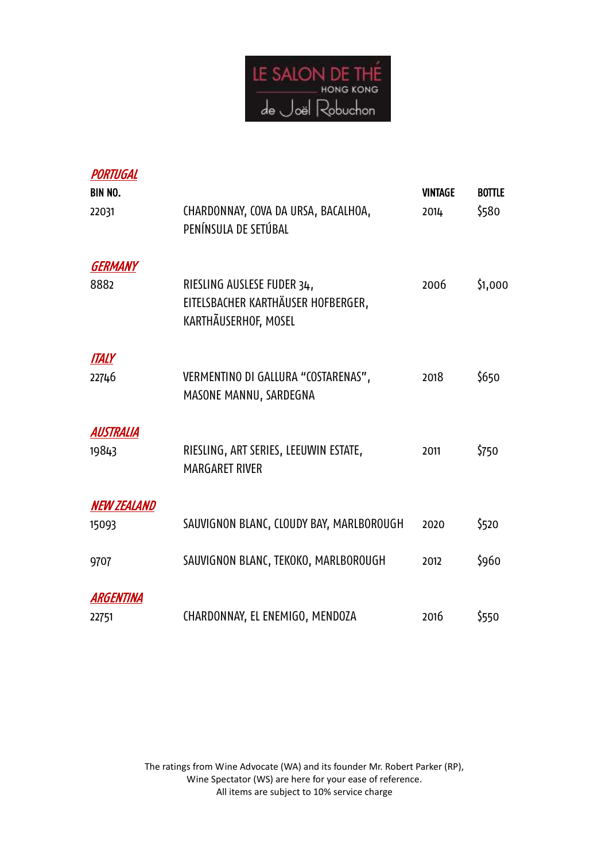

| PORTUGAL<br><b>BIN NO.</b> |                                                                                          | <b>VINTAGE</b> | <b>BOTTLE</b> |
|----------------------------|------------------------------------------------------------------------------------------|----------------|---------------|
| 22031                      | CHARDONNAY, COVA DA URSA, BACALHOA,<br>PENÍNSULA DE SETÚBAL                              | 2014           | \$580         |
| <b>GERMANY</b><br>8882     | RIESLING AUSLESE FUDER 34,<br>EITELSBACHER KARTHÄUSER HOFBERGER,<br>KARTHÃUSERHOF, MOSEL | 2006           | \$1,000       |
| <b>ITALY</b><br>22746      | VERMENTINO DI GALLURA "COSTARENAS",<br>MASONE MANNU, SARDEGNA                            | 2018           | \$650         |
| AUSTRALIA<br>19843         | RIESLING, ART SERIES, LEEUWIN ESTATE,<br><b>MARGARET RIVER</b>                           | 2011           | \$750         |
| <b>NEW ZEALAND</b>         |                                                                                          |                |               |
| 15093                      | SAUVIGNON BLANC, CLOUDY BAY, MARLBOROUGH                                                 | 2020           | \$520         |
| 9707                       | SAUVIGNON BLANC, TEKOKO, MARLBOROUGH                                                     | 2012           | \$960         |
| ARGENTINA<br>22751         | CHARDONNAY, EL ENEMIGO, MENDOZA                                                          | 2016           | \$550         |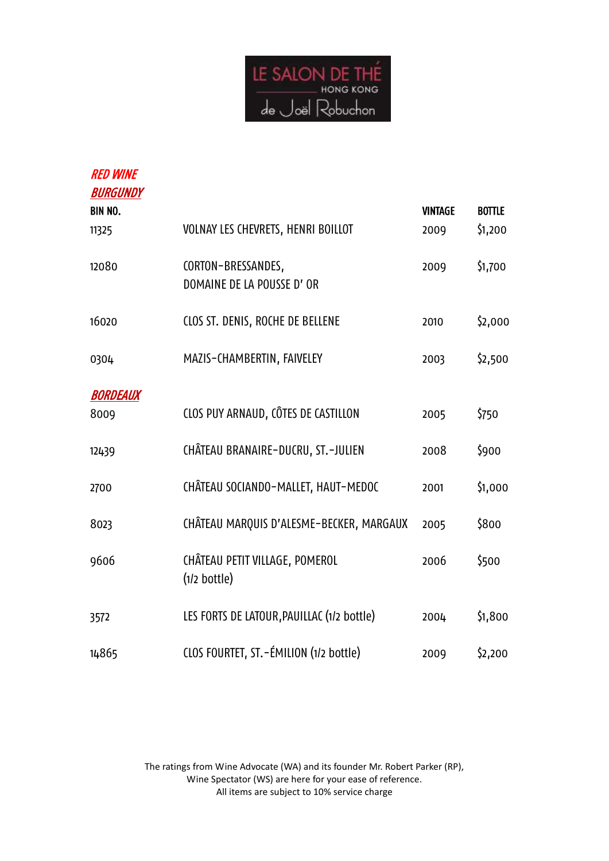

| <b>RED WINE</b><br><b>BURGUNDY</b> |                                            |                |               |
|------------------------------------|--------------------------------------------|----------------|---------------|
| <b>BIN NO.</b>                     |                                            | <b>VINTAGE</b> | <b>BOTTLE</b> |
|                                    |                                            |                |               |
| 11325                              | VOLNAY LES CHEVRETS, HENRI BOILLOT         | 2009           | \$1,200       |
| 12080                              | CORTON-BRESSANDES,                         | 2009           | \$1,700       |
|                                    |                                            |                |               |
|                                    | DOMAINE DE LA POUSSE D' OR                 |                |               |
| 16020                              | CLOS ST. DENIS, ROCHE DE BELLENE           | 2010           | \$2,000       |
|                                    |                                            |                |               |
| 0304                               | MAZIS-CHAMBERTIN, FAIVELEY                 | 2003           | \$2,500       |
|                                    |                                            |                |               |
| <b>BORDEAUX</b>                    |                                            |                |               |
| 8009                               | CLOS PUY ARNAUD, CÔTES DE CASTILLON        | 2005           | \$750         |
|                                    |                                            |                |               |
| 12439                              | CHÂTEAU BRANAIRE-DUCRU, ST.-JULIEN         | 2008           | \$900         |
|                                    |                                            |                |               |
| 2700                               | CHÂTEAU SOCIANDO-MALLET, HAUT-MEDOC        | 2001           | \$1,000       |
|                                    |                                            |                |               |
| 8023                               | CHÂTEAU MARQUIS D'ALESME-BECKER, MARGAUX   | 2005           | \$800         |
|                                    |                                            |                |               |
| 9606                               | CHÂTEAU PETIT VILLAGE, POMEROL             | 2006           | \$500         |
|                                    | $(1/2$ bottle)                             |                |               |
| 3572                               | LES FORTS DE LATOUR, PAUILLAC (1/2 bottle) | 2004           | \$1,800       |
|                                    |                                            |                |               |
| 14865                              | CLOS FOURTET, ST. - ÉMILION (1/2 bottle)   | 2009           | \$2,200       |
|                                    |                                            |                |               |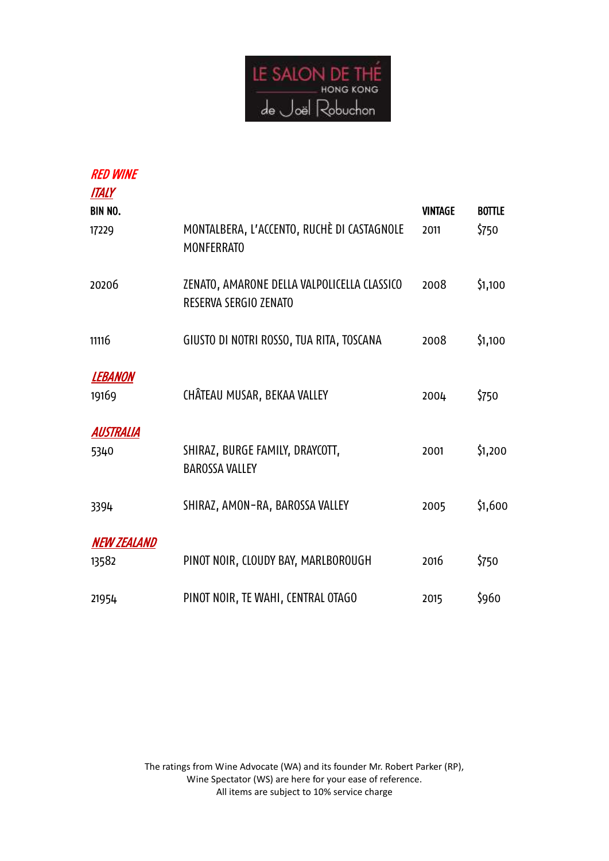

| <b>RED WINE</b>                  |                                                                      |                        |                        |
|----------------------------------|----------------------------------------------------------------------|------------------------|------------------------|
| <b>ITALY</b><br>BIN NO.<br>17229 | MONTALBERA, L'ACCENTO, RUCHÈ DI CASTAGNOLE<br><b>MONFERRATO</b>      | <b>VINTAGE</b><br>2011 | <b>BOTTLE</b><br>\$750 |
| 20206                            | ZENATO, AMARONE DELLA VALPOLICELLA CLASSICO<br>RESERVA SERGIO ZENATO | 2008                   | \$1,100                |
| 11116                            | GIUSTO DI NOTRI ROSSO, TUA RITA, TOSCANA                             | 2008                   | \$1,100                |
| <b>LEBANON</b><br>19169          | CHÂTEAU MUSAR, BEKAA VALLEY                                          | 2004                   | \$750                  |
| AUSTRALIA<br>5340                | SHIRAZ, BURGE FAMILY, DRAYCOTT,<br><b>BAROSSA VALLEY</b>             | 2001                   | \$1,200                |
| 3394                             | SHIRAZ, AMON-RA, BAROSSA VALLEY                                      | 2005                   | \$1,600                |
| <b>NEW ZEALAND</b><br>13582      | PINOT NOIR, CLOUDY BAY, MARLBOROUGH                                  | 2016                   | \$750                  |
| 21954                            | PINOT NOIR, TE WAHI, CENTRAL OTAGO                                   | 2015                   | \$960                  |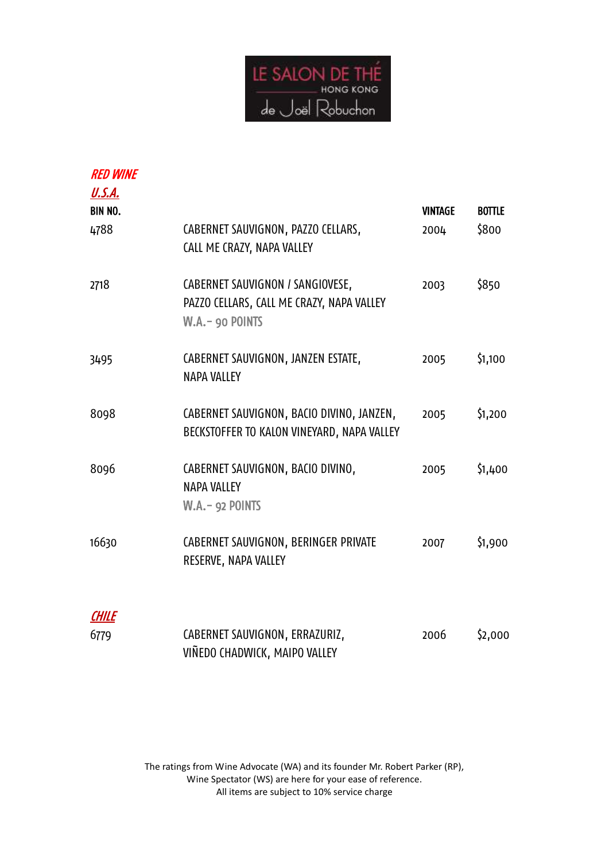

| <b>RED WINE</b><br><u>U.S.A.</u> |                                                                                                   |                |               |
|----------------------------------|---------------------------------------------------------------------------------------------------|----------------|---------------|
| <b>BIN NO.</b>                   |                                                                                                   | <b>VINTAGE</b> | <b>BOTTLE</b> |
| 4788                             | CABERNET SAUVIGNON, PAZZO CELLARS,<br>CALL ME CRAZY, NAPA VALLEY                                  | 2004           | \$800         |
| 2718                             | CABERNET SAUVIGNON / SANGIOVESE,<br>PAZZO CELLARS, CALL ME CRAZY, NAPA VALLEY<br>W.A. - 90 POINTS | 2003           | \$850         |
| 3495                             | CABERNET SAUVIGNON, JANZEN ESTATE,<br><b>NAPA VALLEY</b>                                          | 2005           | \$1,100       |
| 8098                             | CABERNET SAUVIGNON, BACIO DIVINO, JANZEN,<br>BECKSTOFFER TO KALON VINEYARD, NAPA VALLEY           | 2005           | \$1,200       |
| 8096                             | CABERNET SAUVIGNON, BACIO DIVINO,<br><b>NAPA VALLEY</b><br><b>W.A.- 92 POINTS</b>                 | 2005           | \$1,400       |
| 16630                            | CABERNET SAUVIGNON, BERINGER PRIVATE<br>RESERVE, NAPA VALLEY                                      | 2007           | \$1,900       |
| <b>CHILE</b>                     |                                                                                                   |                |               |
| 6779                             | CABERNET SAUVIGNON, ERRAZURIZ,                                                                    | 2006           | \$2,000       |

VIÑEDO CHADWICK, MAIPO VALLEY